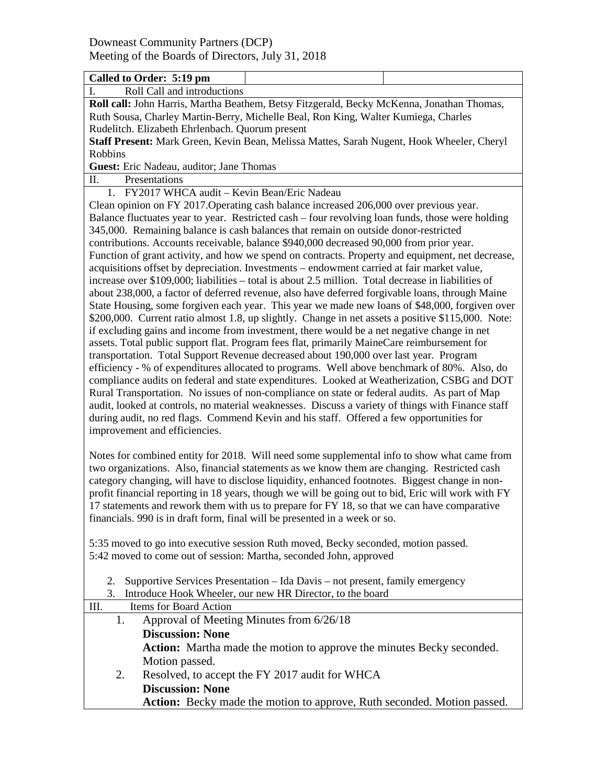| Called to Order: 5:19 pm                                                                                                                                                             |  |  |  |  |
|--------------------------------------------------------------------------------------------------------------------------------------------------------------------------------------|--|--|--|--|
| I.<br>Roll Call and introductions                                                                                                                                                    |  |  |  |  |
| Roll call: John Harris, Martha Beathem, Betsy Fitzgerald, Becky McKenna, Jonathan Thomas,                                                                                            |  |  |  |  |
| Ruth Sousa, Charley Martin-Berry, Michelle Beal, Ron King, Walter Kumiega, Charles                                                                                                   |  |  |  |  |
| Rudelitch. Elizabeth Ehrlenbach. Quorum present                                                                                                                                      |  |  |  |  |
| Staff Present: Mark Green, Kevin Bean, Melissa Mattes, Sarah Nugent, Hook Wheeler, Cheryl                                                                                            |  |  |  |  |
| Robbins                                                                                                                                                                              |  |  |  |  |
| Guest: Eric Nadeau, auditor; Jane Thomas                                                                                                                                             |  |  |  |  |
| Π.<br>Presentations                                                                                                                                                                  |  |  |  |  |
| 1. FY2017 WHCA audit - Kevin Bean/Eric Nadeau                                                                                                                                        |  |  |  |  |
| Clean opinion on FY 2017. Operating cash balance increased 206,000 over previous year.                                                                                               |  |  |  |  |
| Balance fluctuates year to year. Restricted cash - four revolving loan funds, those were holding                                                                                     |  |  |  |  |
| 345,000. Remaining balance is cash balances that remain on outside donor-restricted                                                                                                  |  |  |  |  |
| contributions. Accounts receivable, balance \$940,000 decreased 90,000 from prior year.                                                                                              |  |  |  |  |
| Function of grant activity, and how we spend on contracts. Property and equipment, net decrease,                                                                                     |  |  |  |  |
| acquisitions offset by depreciation. Investments - endowment carried at fair market value,                                                                                           |  |  |  |  |
| increase over \$109,000; liabilities – total is about 2.5 million. Total decrease in liabilities of                                                                                  |  |  |  |  |
| about 238,000, a factor of deferred revenue, also have deferred forgivable loans, through Maine                                                                                      |  |  |  |  |
| State Housing, some forgiven each year. This year we made new loans of \$48,000, forgiven over                                                                                       |  |  |  |  |
| \$200,000. Current ratio almost 1.8, up slightly. Change in net assets a positive \$115,000. Note:                                                                                   |  |  |  |  |
| if excluding gains and income from investment, there would be a net negative change in net                                                                                           |  |  |  |  |
| assets. Total public support flat. Program fees flat, primarily MaineCare reimbursement for<br>transportation. Total Support Revenue decreased about 190,000 over last year. Program |  |  |  |  |
| efficiency - % of expenditures allocated to programs. Well above benchmark of 80%. Also, do                                                                                          |  |  |  |  |
| compliance audits on federal and state expenditures. Looked at Weatherization, CSBG and DOT                                                                                          |  |  |  |  |
| Rural Transportation. No issues of non-compliance on state or federal audits. As part of Map                                                                                         |  |  |  |  |
| audit, looked at controls, no material weaknesses. Discuss a variety of things with Finance staff                                                                                    |  |  |  |  |
| during audit, no red flags. Commend Kevin and his staff. Offered a few opportunities for                                                                                             |  |  |  |  |
| improvement and efficiencies.                                                                                                                                                        |  |  |  |  |
|                                                                                                                                                                                      |  |  |  |  |
| Notes for combined entity for 2018. Will need some supplemental info to show what came from                                                                                          |  |  |  |  |
| two organizations. Also, financial statements as we know them are changing. Restricted cash                                                                                          |  |  |  |  |
| category changing, will have to disclose liquidity, enhanced footnotes. Biggest change in non-                                                                                       |  |  |  |  |
| profit financial reporting in 18 years, though we will be going out to bid, Eric will work with FY                                                                                   |  |  |  |  |
| 17 statements and rework them with us to prepare for FY 18, so that we can have comparative                                                                                          |  |  |  |  |
| financials. 990 is in draft form, final will be presented in a week or so.                                                                                                           |  |  |  |  |
|                                                                                                                                                                                      |  |  |  |  |
| 5:35 moved to go into executive session Ruth moved, Becky seconded, motion passed.                                                                                                   |  |  |  |  |
| 5:42 moved to come out of session: Martha, seconded John, approved                                                                                                                   |  |  |  |  |
|                                                                                                                                                                                      |  |  |  |  |
| Supportive Services Presentation - Ida Davis - not present, family emergency<br>2.                                                                                                   |  |  |  |  |
| Introduce Hook Wheeler, our new HR Director, to the board<br>3.                                                                                                                      |  |  |  |  |
| III.<br>Items for Board Action                                                                                                                                                       |  |  |  |  |
| Approval of Meeting Minutes from 6/26/18<br>1.                                                                                                                                       |  |  |  |  |
| <b>Discussion: None</b>                                                                                                                                                              |  |  |  |  |
| Action: Martha made the motion to approve the minutes Becky seconded.                                                                                                                |  |  |  |  |
| Motion passed.                                                                                                                                                                       |  |  |  |  |
| Resolved, to accept the FY 2017 audit for WHCA<br>2.                                                                                                                                 |  |  |  |  |
| <b>Discussion: None</b>                                                                                                                                                              |  |  |  |  |
| Action: Becky made the motion to approve, Ruth seconded. Motion passed.                                                                                                              |  |  |  |  |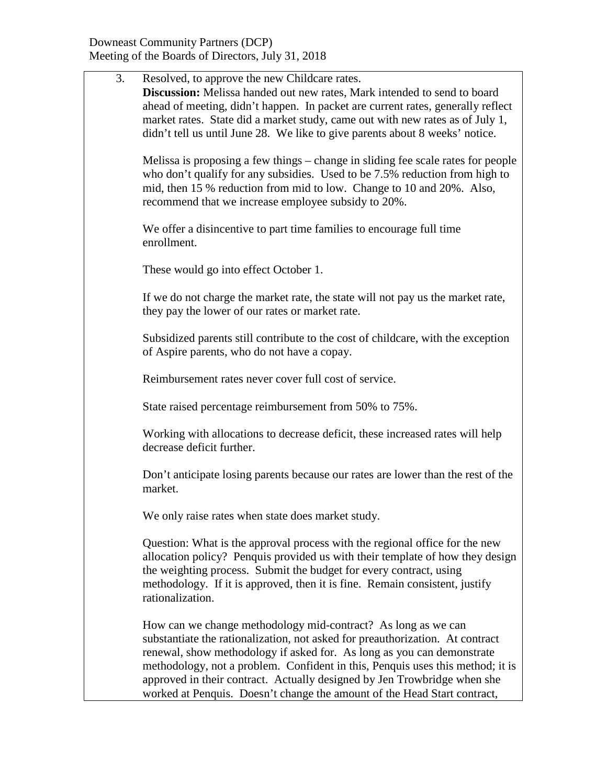| 3. | Resolved, to approve the new Childcare rates.                                    |
|----|----------------------------------------------------------------------------------|
|    | Discussion: Melissa handed out new rates, Mark intended to send to board         |
|    | ahead of meeting, didn't happen. In packet are current rates, generally reflect  |
|    | market rates. State did a market study, came out with new rates as of July 1,    |
|    | didn't tell us until June 28. We like to give parents about 8 weeks' notice.     |
|    | Melissa is proposing a few things – change in sliding fee scale rates for people |
|    | who don't qualify for any subsidies. Used to be 7.5% reduction from high to      |
|    | mid, then 15 % reduction from mid to low. Change to 10 and 20%. Also,            |
|    | recommend that we increase employee subsidy to 20%.                              |
|    | We offer a disincentive to part time families to encourage full time             |
|    | enrollment.                                                                      |
|    |                                                                                  |
|    | These would go into effect October 1.                                            |
|    |                                                                                  |
|    | If we do not charge the market rate, the state will not pay us the market rate,  |
|    | they pay the lower of our rates or market rate.                                  |
|    | Subsidized parents still contribute to the cost of childcare, with the exception |
|    | of Aspire parents, who do not have a copay.                                      |
|    |                                                                                  |
|    | Reimbursement rates never cover full cost of service.                            |
|    |                                                                                  |
|    | State raised percentage reimbursement from 50% to 75%.                           |
|    | Working with allocations to decrease deficit, these increased rates will help    |
|    | decrease deficit further.                                                        |
|    |                                                                                  |
|    | Don't anticipate losing parents because our rates are lower than the rest of the |
|    | market.                                                                          |
|    |                                                                                  |
|    | We only raise rates when state does market study.                                |
|    | Question: What is the approval process with the regional office for the new      |
|    | allocation policy? Penquis provided us with their template of how they design    |
|    | the weighting process. Submit the budget for every contract, using               |
|    | methodology. If it is approved, then it is fine. Remain consistent, justify      |
|    | rationalization.                                                                 |
|    |                                                                                  |
|    | How can we change methodology mid-contract? As long as we can                    |
|    | substantiate the rationalization, not asked for preauthorization. At contract    |
|    | renewal, show methodology if asked for. As long as you can demonstrate           |
|    | methodology, not a problem. Confident in this, Penquis uses this method; it is   |
|    | approved in their contract. Actually designed by Jen Trowbridge when she         |
|    | worked at Penquis. Doesn't change the amount of the Head Start contract,         |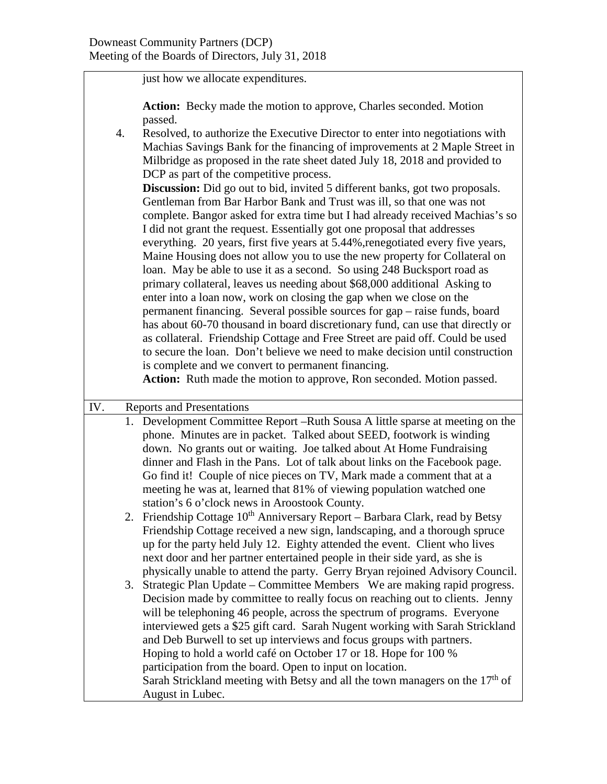just how we allocate expenditures.

Action: Becky made the motion to approve, Charles seconded. Motion passed.

4. Resolved, to authorize the Executive Director to enter into negotiations with Machias Savings Bank for the financing of improvements at 2 Maple Street in Milbridge as proposed in the rate sheet dated July 18, 2018 and provided to DCP as part of the competitive process.

**Discussion:** Did go out to bid, invited 5 different banks, got two proposals. Gentleman from Bar Harbor Bank and Trust was ill, so that one was not complete. Bangor asked for extra time but I had already received Machias's so I did not grant the request. Essentially got one proposal that addresses everything. 20 years, first five years at 5.44%, renegotiated every five years, Maine Housing does not allow you to use the new property for Collateral on loan. May be able to use it as a second. So using 248 Bucksport road as primary collateral, leaves us needing about \$68,000 additional Asking to enter into a loan now, work on closing the gap when we close on the permanent financing. Several possible sources for gap – raise funds, board has about 60-70 thousand in board discretionary fund, can use that directly or as collateral. Friendship Cottage and Free Street are paid off. Could be used to secure the loan. Don't believe we need to make decision until construction is complete and we convert to permanent financing.

**Action:** Ruth made the motion to approve, Ron seconded. Motion passed.

| IV. | <b>Reports and Presentations</b>                                                                                                                                                                                                                                                                                                                                                                                                                                                                                               |
|-----|--------------------------------------------------------------------------------------------------------------------------------------------------------------------------------------------------------------------------------------------------------------------------------------------------------------------------------------------------------------------------------------------------------------------------------------------------------------------------------------------------------------------------------|
|     | 1. Development Committee Report – Ruth Sousa A little sparse at meeting on the<br>phone. Minutes are in packet. Talked about SEED, footwork is winding                                                                                                                                                                                                                                                                                                                                                                         |
|     | down. No grants out or waiting. Joe talked about At Home Fundraising<br>dinner and Flash in the Pans. Lot of talk about links on the Facebook page.                                                                                                                                                                                                                                                                                                                                                                            |
|     | Go find it! Couple of nice pieces on TV, Mark made a comment that at a<br>meeting he was at, learned that 81% of viewing population watched one                                                                                                                                                                                                                                                                                                                                                                                |
|     | station's 6 o'clock news in Aroostook County.<br>2. Friendship Cottage $10^{th}$ Anniversary Report – Barbara Clark, read by Betsy                                                                                                                                                                                                                                                                                                                                                                                             |
|     | Friendship Cottage received a new sign, landscaping, and a thorough spruce<br>up for the party held July 12. Eighty attended the event. Client who lives<br>next door and her partner entertained people in their side yard, as she is<br>physically unable to attend the party. Gerry Bryan rejoined Advisory Council.                                                                                                                                                                                                        |
|     | 3. Strategic Plan Update – Committee Members We are making rapid progress.<br>Decision made by committee to really focus on reaching out to clients. Jenny<br>will be telephoning 46 people, across the spectrum of programs. Everyone<br>interviewed gets a \$25 gift card. Sarah Nugent working with Sarah Strickland<br>and Deb Burwell to set up interviews and focus groups with partners.<br>Hoping to hold a world café on October 17 or 18. Hope for 100 %<br>participation from the board. Open to input on location. |
|     | Sarah Strickland meeting with Betsy and all the town managers on the $17th$ of<br>August in Lubec.                                                                                                                                                                                                                                                                                                                                                                                                                             |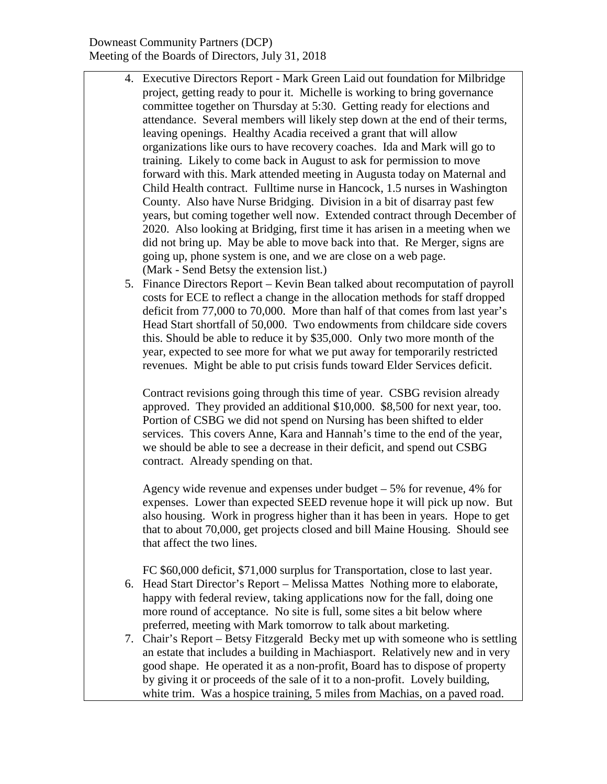## Downeast Community Partners (DCP) Meeting of the Boards of Directors, July 31, 2018

- 4. Executive Directors Report Mark Green Laid out foundation for Milbridge project, getting ready to pour it. Michelle is working to bring governance committee together on Thursday at 5:30. Getting ready for elections and attendance. Several members will likely step down at the end of their terms, leaving openings. Healthy Acadia received a grant that will allow organizations like ours to have recovery coaches. Ida and Mark will go to training. Likely to come back in August to ask for permission to move forward with this. Mark attended meeting in Augusta today on Maternal and Child Health contract. Fulltime nurse in Hancock, 1.5 nurses in Washington County. Also have Nurse Bridging. Division in a bit of disarray past few years, but coming together well now. Extended contract through December of 2020. Also looking at Bridging, first time it has arisen in a meeting when we did not bring up. May be able to move back into that. Re Merger, signs are going up, phone system is one, and we are close on a web page. (Mark - Send Betsy the extension list.)
- 5. Finance Directors Report Kevin Bean talked about recomputation of payroll costs for ECE to reflect a change in the allocation methods for staff dropped deficit from 77,000 to 70,000. More than half of that comes from last year's Head Start shortfall of 50,000. Two endowments from childcare side covers this. Should be able to reduce it by \$35,000. Only two more month of the year, expected to see more for what we put away for temporarily restricted revenues. Might be able to put crisis funds toward Elder Services deficit.

Contract revisions going through this time of year. CSBG revision already approved. They provided an additional \$10,000. \$8,500 for next year, too. Portion of CSBG we did not spend on Nursing has been shifted to elder services. This covers Anne, Kara and Hannah's time to the end of the year, we should be able to see a decrease in their deficit, and spend out CSBG contract. Already spending on that.

Agency wide revenue and expenses under budget – 5% for revenue, 4% for expenses. Lower than expected SEED revenue hope it will pick up now. But also housing. Work in progress higher than it has been in years. Hope to get that to about 70,000, get projects closed and bill Maine Housing. Should see that affect the two lines.

FC \$60,000 deficit, \$71,000 surplus for Transportation, close to last year.

- 6. Head Start Director's Report Melissa Mattes Nothing more to elaborate, happy with federal review, taking applications now for the fall, doing one more round of acceptance. No site is full, some sites a bit below where preferred, meeting with Mark tomorrow to talk about marketing.
- 7. Chair's Report Betsy Fitzgerald Becky met up with someone who is settling an estate that includes a building in Machiasport. Relatively new and in very good shape. He operated it as a non-profit, Board has to dispose of property by giving it or proceeds of the sale of it to a non-profit. Lovely building, white trim. Was a hospice training, 5 miles from Machias, on a paved road.